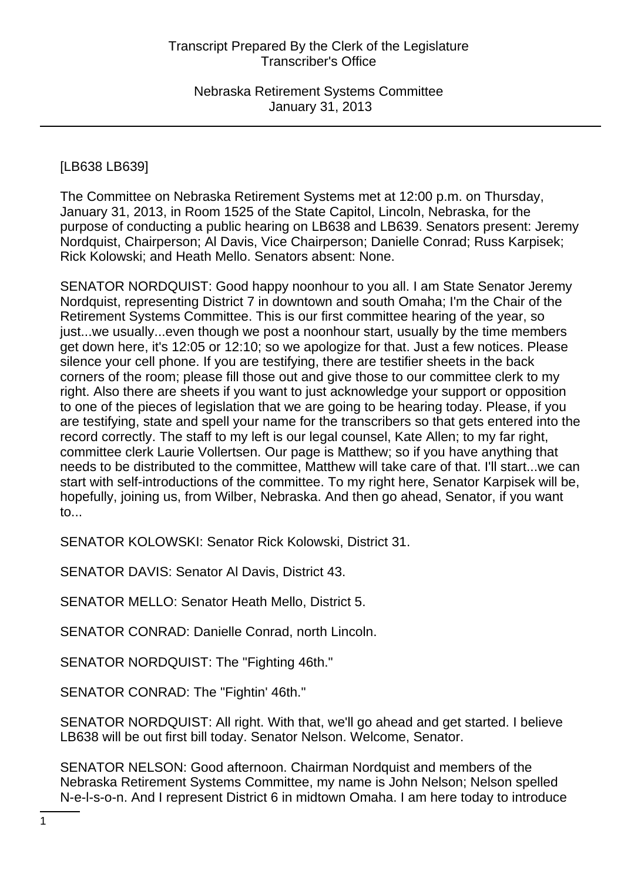# [LB638 LB639]

The Committee on Nebraska Retirement Systems met at 12:00 p.m. on Thursday, January 31, 2013, in Room 1525 of the State Capitol, Lincoln, Nebraska, for the purpose of conducting a public hearing on LB638 and LB639. Senators present: Jeremy Nordquist, Chairperson; Al Davis, Vice Chairperson; Danielle Conrad; Russ Karpisek; Rick Kolowski; and Heath Mello. Senators absent: None.

SENATOR NORDQUIST: Good happy noonhour to you all. I am State Senator Jeremy Nordquist, representing District 7 in downtown and south Omaha; I'm the Chair of the Retirement Systems Committee. This is our first committee hearing of the year, so just...we usually...even though we post a noonhour start, usually by the time members get down here, it's 12:05 or 12:10; so we apologize for that. Just a few notices. Please silence your cell phone. If you are testifying, there are testifier sheets in the back corners of the room; please fill those out and give those to our committee clerk to my right. Also there are sheets if you want to just acknowledge your support or opposition to one of the pieces of legislation that we are going to be hearing today. Please, if you are testifying, state and spell your name for the transcribers so that gets entered into the record correctly. The staff to my left is our legal counsel, Kate Allen; to my far right, committee clerk Laurie Vollertsen. Our page is Matthew; so if you have anything that needs to be distributed to the committee, Matthew will take care of that. I'll start...we can start with self-introductions of the committee. To my right here, Senator Karpisek will be, hopefully, joining us, from Wilber, Nebraska. And then go ahead, Senator, if you want to...

SENATOR KOLOWSKI: Senator Rick Kolowski, District 31.

SENATOR DAVIS: Senator Al Davis, District 43.

SENATOR MELLO: Senator Heath Mello, District 5.

SENATOR CONRAD: Danielle Conrad, north Lincoln.

SENATOR NORDQUIST: The "Fighting 46th."

SENATOR CONRAD: The "Fightin' 46th."

SENATOR NORDQUIST: All right. With that, we'll go ahead and get started. I believe LB638 will be out first bill today. Senator Nelson. Welcome, Senator.

SENATOR NELSON: Good afternoon. Chairman Nordquist and members of the Nebraska Retirement Systems Committee, my name is John Nelson; Nelson spelled N-e-l-s-o-n. And I represent District 6 in midtown Omaha. I am here today to introduce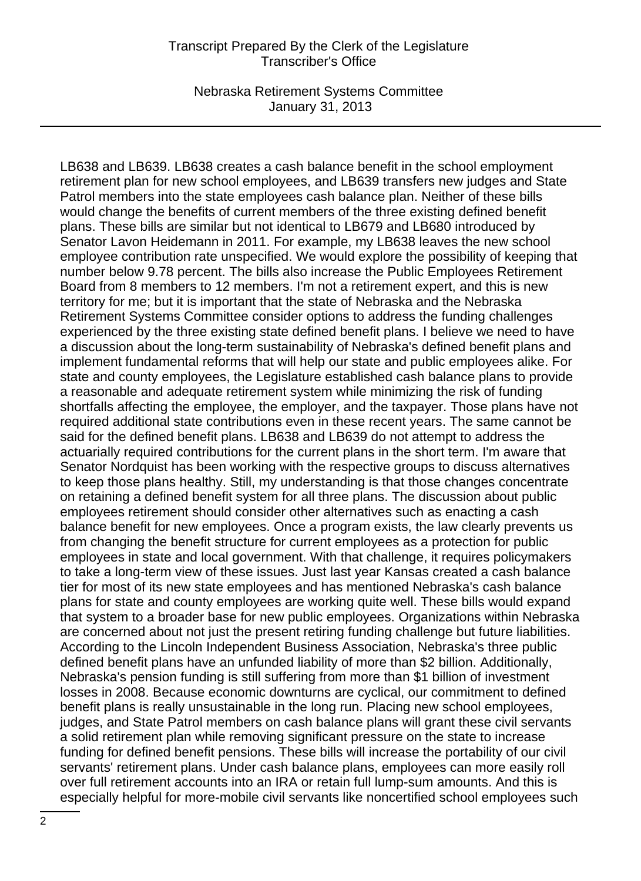Nebraska Retirement Systems Committee January 31, 2013

LB638 and LB639. LB638 creates a cash balance benefit in the school employment retirement plan for new school employees, and LB639 transfers new judges and State Patrol members into the state employees cash balance plan. Neither of these bills would change the benefits of current members of the three existing defined benefit plans. These bills are similar but not identical to LB679 and LB680 introduced by Senator Lavon Heidemann in 2011. For example, my LB638 leaves the new school employee contribution rate unspecified. We would explore the possibility of keeping that number below 9.78 percent. The bills also increase the Public Employees Retirement Board from 8 members to 12 members. I'm not a retirement expert, and this is new territory for me; but it is important that the state of Nebraska and the Nebraska Retirement Systems Committee consider options to address the funding challenges experienced by the three existing state defined benefit plans. I believe we need to have a discussion about the long-term sustainability of Nebraska's defined benefit plans and implement fundamental reforms that will help our state and public employees alike. For state and county employees, the Legislature established cash balance plans to provide a reasonable and adequate retirement system while minimizing the risk of funding shortfalls affecting the employee, the employer, and the taxpayer. Those plans have not required additional state contributions even in these recent years. The same cannot be said for the defined benefit plans. LB638 and LB639 do not attempt to address the actuarially required contributions for the current plans in the short term. I'm aware that Senator Nordquist has been working with the respective groups to discuss alternatives to keep those plans healthy. Still, my understanding is that those changes concentrate on retaining a defined benefit system for all three plans. The discussion about public employees retirement should consider other alternatives such as enacting a cash balance benefit for new employees. Once a program exists, the law clearly prevents us from changing the benefit structure for current employees as a protection for public employees in state and local government. With that challenge, it requires policymakers to take a long-term view of these issues. Just last year Kansas created a cash balance tier for most of its new state employees and has mentioned Nebraska's cash balance plans for state and county employees are working quite well. These bills would expand that system to a broader base for new public employees. Organizations within Nebraska are concerned about not just the present retiring funding challenge but future liabilities. According to the Lincoln Independent Business Association, Nebraska's three public defined benefit plans have an unfunded liability of more than \$2 billion. Additionally, Nebraska's pension funding is still suffering from more than \$1 billion of investment losses in 2008. Because economic downturns are cyclical, our commitment to defined benefit plans is really unsustainable in the long run. Placing new school employees, judges, and State Patrol members on cash balance plans will grant these civil servants a solid retirement plan while removing significant pressure on the state to increase funding for defined benefit pensions. These bills will increase the portability of our civil servants' retirement plans. Under cash balance plans, employees can more easily roll over full retirement accounts into an IRA or retain full lump-sum amounts. And this is especially helpful for more-mobile civil servants like noncertified school employees such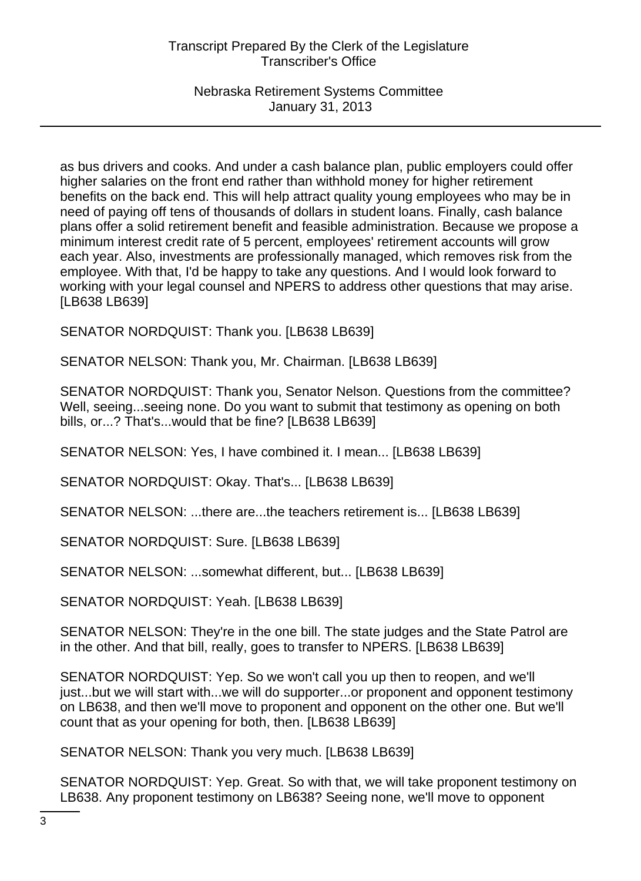Nebraska Retirement Systems Committee January 31, 2013

as bus drivers and cooks. And under a cash balance plan, public employers could offer higher salaries on the front end rather than withhold money for higher retirement benefits on the back end. This will help attract quality young employees who may be in need of paying off tens of thousands of dollars in student loans. Finally, cash balance plans offer a solid retirement benefit and feasible administration. Because we propose a minimum interest credit rate of 5 percent, employees' retirement accounts will grow each year. Also, investments are professionally managed, which removes risk from the employee. With that, I'd be happy to take any questions. And I would look forward to working with your legal counsel and NPERS to address other questions that may arise. [LB638 LB639]

SENATOR NORDQUIST: Thank you. [LB638 LB639]

SENATOR NELSON: Thank you, Mr. Chairman. [LB638 LB639]

SENATOR NORDQUIST: Thank you, Senator Nelson. Questions from the committee? Well, seeing...seeing none. Do you want to submit that testimony as opening on both bills, or...? That's...would that be fine? [LB638 LB639]

SENATOR NELSON: Yes, I have combined it. I mean... [LB638 LB639]

SENATOR NORDQUIST: Okay. That's... [LB638 LB639]

SENATOR NELSON: ...there are...the teachers retirement is... [LB638 LB639]

SENATOR NORDQUIST: Sure. [LB638 LB639]

SENATOR NELSON: ...somewhat different, but... [LB638 LB639]

SENATOR NORDQUIST: Yeah. [LB638 LB639]

SENATOR NELSON: They're in the one bill. The state judges and the State Patrol are in the other. And that bill, really, goes to transfer to NPERS. [LB638 LB639]

SENATOR NORDQUIST: Yep. So we won't call you up then to reopen, and we'll just...but we will start with...we will do supporter...or proponent and opponent testimony on LB638, and then we'll move to proponent and opponent on the other one. But we'll count that as your opening for both, then. [LB638 LB639]

SENATOR NELSON: Thank you very much. [LB638 LB639]

SENATOR NORDQUIST: Yep. Great. So with that, we will take proponent testimony on LB638. Any proponent testimony on LB638? Seeing none, we'll move to opponent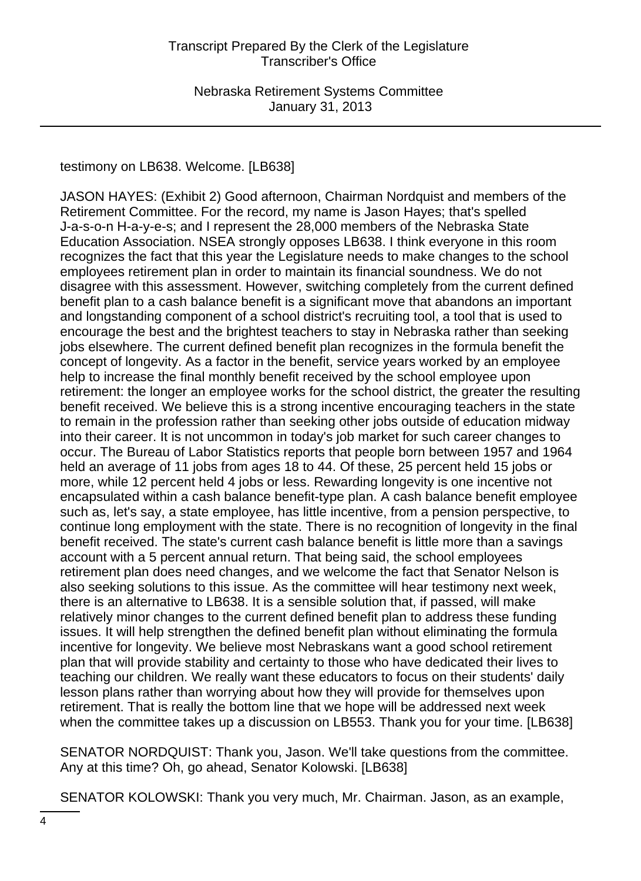testimony on LB638. Welcome. [LB638]

JASON HAYES: (Exhibit 2) Good afternoon, Chairman Nordquist and members of the Retirement Committee. For the record, my name is Jason Hayes; that's spelled J-a-s-o-n H-a-y-e-s; and I represent the 28,000 members of the Nebraska State Education Association. NSEA strongly opposes LB638. I think everyone in this room recognizes the fact that this year the Legislature needs to make changes to the school employees retirement plan in order to maintain its financial soundness. We do not disagree with this assessment. However, switching completely from the current defined benefit plan to a cash balance benefit is a significant move that abandons an important and longstanding component of a school district's recruiting tool, a tool that is used to encourage the best and the brightest teachers to stay in Nebraska rather than seeking jobs elsewhere. The current defined benefit plan recognizes in the formula benefit the concept of longevity. As a factor in the benefit, service years worked by an employee help to increase the final monthly benefit received by the school employee upon retirement: the longer an employee works for the school district, the greater the resulting benefit received. We believe this is a strong incentive encouraging teachers in the state to remain in the profession rather than seeking other jobs outside of education midway into their career. It is not uncommon in today's job market for such career changes to occur. The Bureau of Labor Statistics reports that people born between 1957 and 1964 held an average of 11 jobs from ages 18 to 44. Of these, 25 percent held 15 jobs or more, while 12 percent held 4 jobs or less. Rewarding longevity is one incentive not encapsulated within a cash balance benefit-type plan. A cash balance benefit employee such as, let's say, a state employee, has little incentive, from a pension perspective, to continue long employment with the state. There is no recognition of longevity in the final benefit received. The state's current cash balance benefit is little more than a savings account with a 5 percent annual return. That being said, the school employees retirement plan does need changes, and we welcome the fact that Senator Nelson is also seeking solutions to this issue. As the committee will hear testimony next week, there is an alternative to LB638. It is a sensible solution that, if passed, will make relatively minor changes to the current defined benefit plan to address these funding issues. It will help strengthen the defined benefit plan without eliminating the formula incentive for longevity. We believe most Nebraskans want a good school retirement plan that will provide stability and certainty to those who have dedicated their lives to teaching our children. We really want these educators to focus on their students' daily lesson plans rather than worrying about how they will provide for themselves upon retirement. That is really the bottom line that we hope will be addressed next week when the committee takes up a discussion on LB553. Thank you for your time. [LB638]

SENATOR NORDQUIST: Thank you, Jason. We'll take questions from the committee. Any at this time? Oh, go ahead, Senator Kolowski. [LB638]

SENATOR KOLOWSKI: Thank you very much, Mr. Chairman. Jason, as an example,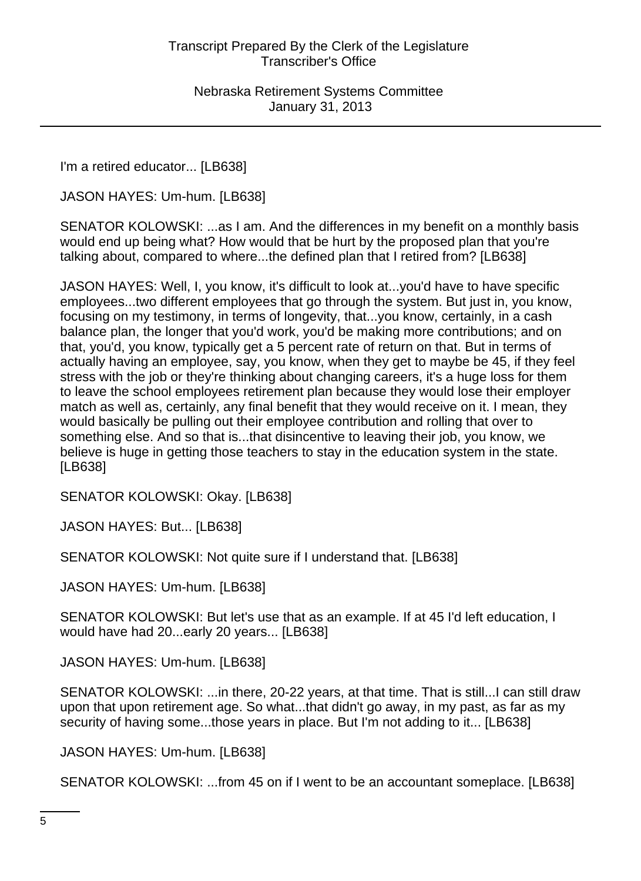I'm a retired educator... [LB638]

JASON HAYES: Um-hum. [LB638]

SENATOR KOLOWSKI: ...as I am. And the differences in my benefit on a monthly basis would end up being what? How would that be hurt by the proposed plan that you're talking about, compared to where...the defined plan that I retired from? [LB638]

JASON HAYES: Well, I, you know, it's difficult to look at...you'd have to have specific employees...two different employees that go through the system. But just in, you know, focusing on my testimony, in terms of longevity, that...you know, certainly, in a cash balance plan, the longer that you'd work, you'd be making more contributions; and on that, you'd, you know, typically get a 5 percent rate of return on that. But in terms of actually having an employee, say, you know, when they get to maybe be 45, if they feel stress with the job or they're thinking about changing careers, it's a huge loss for them to leave the school employees retirement plan because they would lose their employer match as well as, certainly, any final benefit that they would receive on it. I mean, they would basically be pulling out their employee contribution and rolling that over to something else. And so that is...that disincentive to leaving their job, you know, we believe is huge in getting those teachers to stay in the education system in the state. [LB638]

SENATOR KOLOWSKI: Okay. [LB638]

JASON HAYES: But... [LB638]

SENATOR KOLOWSKI: Not quite sure if I understand that. [LB638]

JASON HAYES: Um-hum. [LB638]

SENATOR KOLOWSKI: But let's use that as an example. If at 45 I'd left education, I would have had 20...early 20 years... [LB638]

JASON HAYES: Um-hum. [LB638]

SENATOR KOLOWSKI: ...in there, 20-22 years, at that time. That is still...I can still draw upon that upon retirement age. So what...that didn't go away, in my past, as far as my security of having some...those years in place. But I'm not adding to it... [LB638]

JASON HAYES: Um-hum. [LB638]

SENATOR KOLOWSKI: ...from 45 on if I went to be an accountant someplace. [LB638]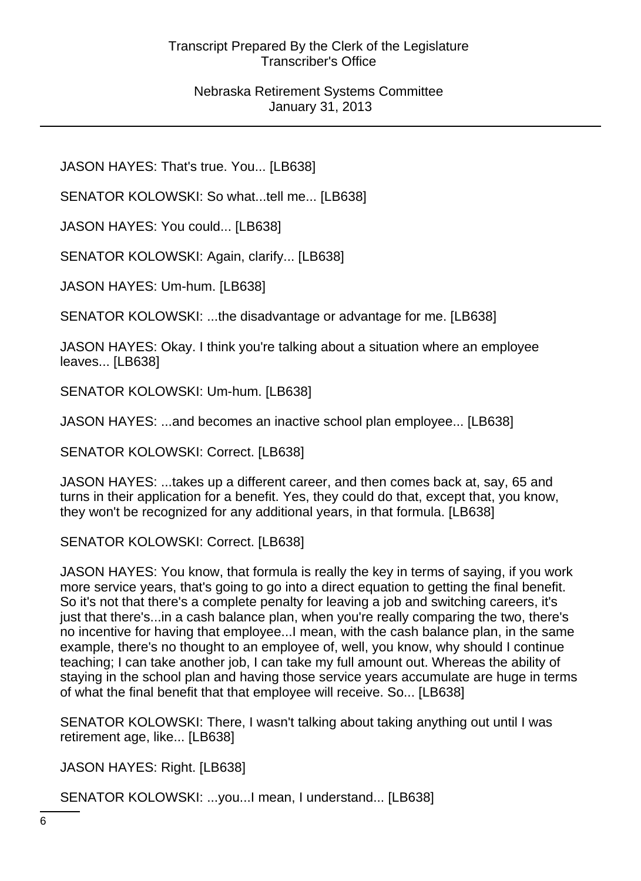JASON HAYES: That's true. You... [LB638]

SENATOR KOLOWSKI: So what...tell me... [LB638]

JASON HAYES: You could... [LB638]

SENATOR KOLOWSKI: Again, clarify... [LB638]

JASON HAYES: Um-hum. [LB638]

SENATOR KOLOWSKI: ...the disadvantage or advantage for me. [LB638]

JASON HAYES: Okay. I think you're talking about a situation where an employee leaves... [LB638]

SENATOR KOLOWSKI: Um-hum. [LB638]

JASON HAYES: ...and becomes an inactive school plan employee... [LB638]

SENATOR KOLOWSKI: Correct. [LB638]

JASON HAYES: ...takes up a different career, and then comes back at, say, 65 and turns in their application for a benefit. Yes, they could do that, except that, you know, they won't be recognized for any additional years, in that formula. [LB638]

SENATOR KOLOWSKI: Correct. [LB638]

JASON HAYES: You know, that formula is really the key in terms of saying, if you work more service years, that's going to go into a direct equation to getting the final benefit. So it's not that there's a complete penalty for leaving a job and switching careers, it's just that there's...in a cash balance plan, when you're really comparing the two, there's no incentive for having that employee...I mean, with the cash balance plan, in the same example, there's no thought to an employee of, well, you know, why should I continue teaching; I can take another job, I can take my full amount out. Whereas the ability of staying in the school plan and having those service years accumulate are huge in terms of what the final benefit that that employee will receive. So... [LB638]

SENATOR KOLOWSKI: There, I wasn't talking about taking anything out until I was retirement age, like... [LB638]

JASON HAYES: Right. [LB638]

SENATOR KOLOWSKI: ...you...I mean, I understand... [LB638]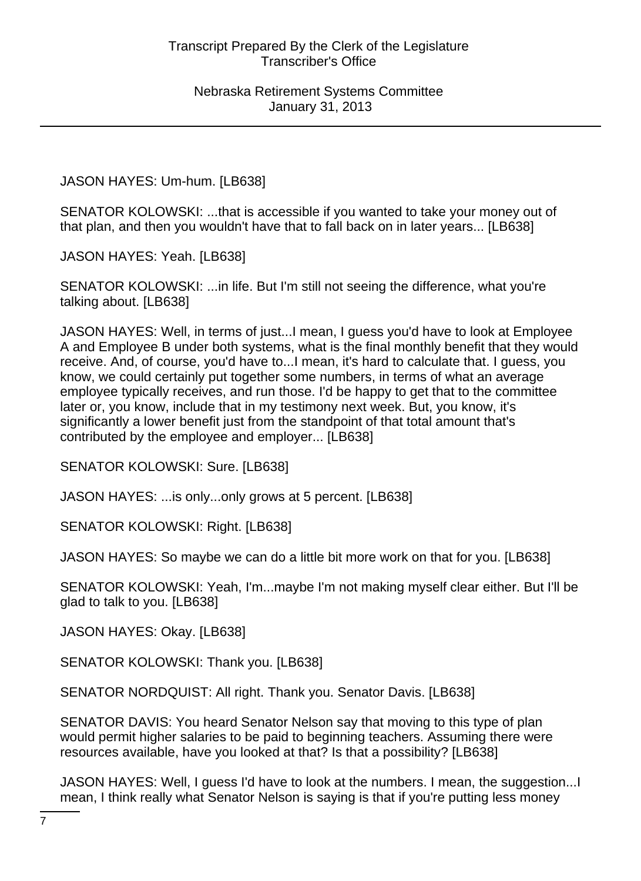JASON HAYES: Um-hum. [LB638]

SENATOR KOLOWSKI: ...that is accessible if you wanted to take your money out of that plan, and then you wouldn't have that to fall back on in later years... [LB638]

JASON HAYES: Yeah. [LB638]

SENATOR KOLOWSKI: ...in life. But I'm still not seeing the difference, what you're talking about. [LB638]

JASON HAYES: Well, in terms of just...I mean, I guess you'd have to look at Employee A and Employee B under both systems, what is the final monthly benefit that they would receive. And, of course, you'd have to...I mean, it's hard to calculate that. I guess, you know, we could certainly put together some numbers, in terms of what an average employee typically receives, and run those. I'd be happy to get that to the committee later or, you know, include that in my testimony next week. But, you know, it's significantly a lower benefit just from the standpoint of that total amount that's contributed by the employee and employer... [LB638]

SENATOR KOLOWSKI: Sure. [LB638]

JASON HAYES: ...is only...only grows at 5 percent. [LB638]

SENATOR KOLOWSKI: Right. [LB638]

JASON HAYES: So maybe we can do a little bit more work on that for you. [LB638]

SENATOR KOLOWSKI: Yeah, I'm...maybe I'm not making myself clear either. But I'll be glad to talk to you. [LB638]

JASON HAYES: Okay. [LB638]

SENATOR KOLOWSKI: Thank you. [LB638]

SENATOR NORDQUIST: All right. Thank you. Senator Davis. [LB638]

SENATOR DAVIS: You heard Senator Nelson say that moving to this type of plan would permit higher salaries to be paid to beginning teachers. Assuming there were resources available, have you looked at that? Is that a possibility? [LB638]

JASON HAYES: Well, I guess I'd have to look at the numbers. I mean, the suggestion...I mean, I think really what Senator Nelson is saying is that if you're putting less money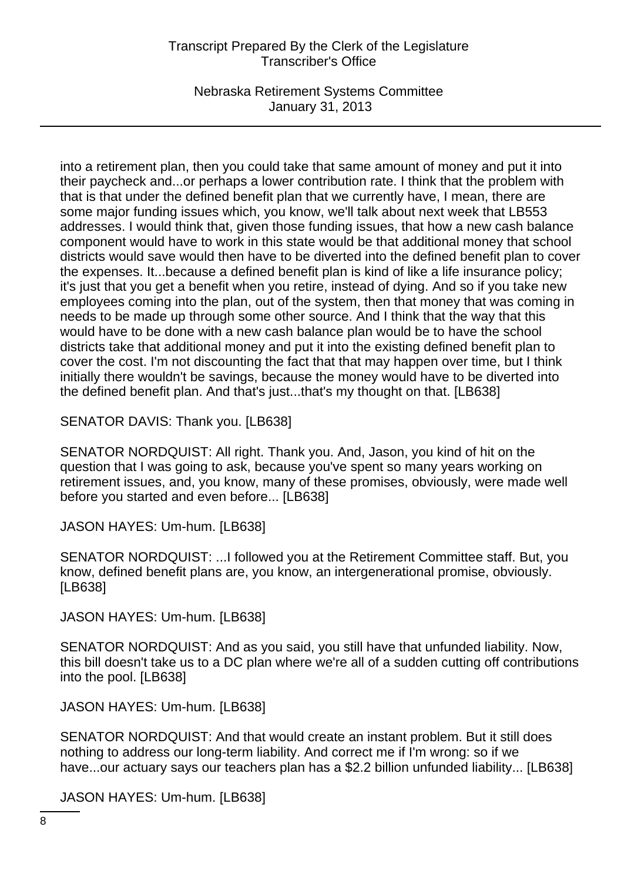Nebraska Retirement Systems Committee January 31, 2013

into a retirement plan, then you could take that same amount of money and put it into their paycheck and...or perhaps a lower contribution rate. I think that the problem with that is that under the defined benefit plan that we currently have, I mean, there are some major funding issues which, you know, we'll talk about next week that LB553 addresses. I would think that, given those funding issues, that how a new cash balance component would have to work in this state would be that additional money that school districts would save would then have to be diverted into the defined benefit plan to cover the expenses. It...because a defined benefit plan is kind of like a life insurance policy; it's just that you get a benefit when you retire, instead of dying. And so if you take new employees coming into the plan, out of the system, then that money that was coming in needs to be made up through some other source. And I think that the way that this would have to be done with a new cash balance plan would be to have the school districts take that additional money and put it into the existing defined benefit plan to cover the cost. I'm not discounting the fact that that may happen over time, but I think initially there wouldn't be savings, because the money would have to be diverted into the defined benefit plan. And that's just...that's my thought on that. [LB638]

SENATOR DAVIS: Thank you. [LB638]

SENATOR NORDQUIST: All right. Thank you. And, Jason, you kind of hit on the question that I was going to ask, because you've spent so many years working on retirement issues, and, you know, many of these promises, obviously, were made well before you started and even before... [LB638]

JASON HAYES: Um-hum. [LB638]

SENATOR NORDQUIST: ...I followed you at the Retirement Committee staff. But, you know, defined benefit plans are, you know, an intergenerational promise, obviously. [LB638]

JASON HAYES: Um-hum. [LB638]

SENATOR NORDQUIST: And as you said, you still have that unfunded liability. Now, this bill doesn't take us to a DC plan where we're all of a sudden cutting off contributions into the pool. [LB638]

JASON HAYES: Um-hum. [LB638]

SENATOR NORDQUIST: And that would create an instant problem. But it still does nothing to address our long-term liability. And correct me if I'm wrong: so if we have...our actuary says our teachers plan has a \$2.2 billion unfunded liability... [LB638]

JASON HAYES: Um-hum. [LB638]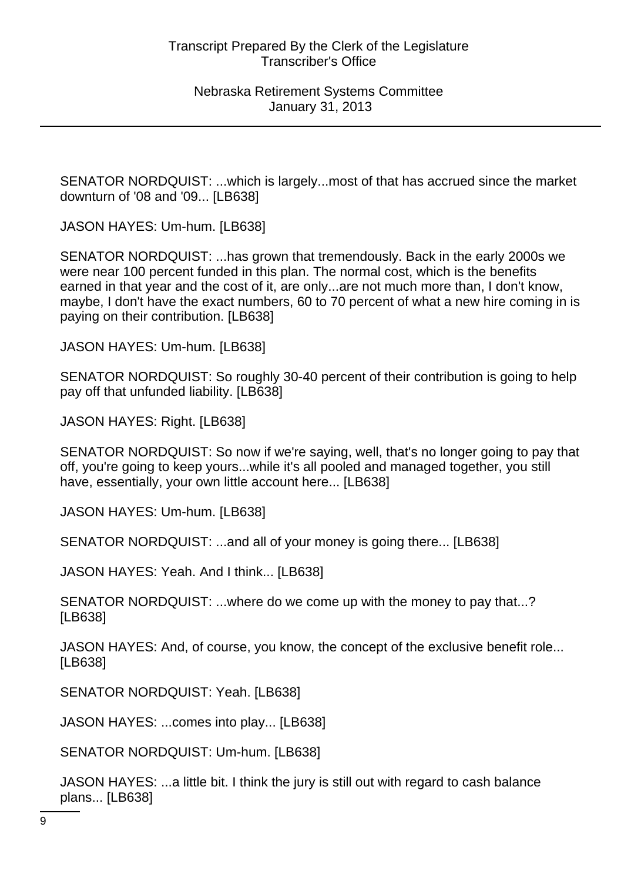SENATOR NORDQUIST: ...which is largely...most of that has accrued since the market downturn of '08 and '09... [LB638]

JASON HAYES: Um-hum. [LB638]

SENATOR NORDQUIST: ...has grown that tremendously. Back in the early 2000s we were near 100 percent funded in this plan. The normal cost, which is the benefits earned in that year and the cost of it, are only...are not much more than, I don't know, maybe, I don't have the exact numbers, 60 to 70 percent of what a new hire coming in is paying on their contribution. [LB638]

JASON HAYES: Um-hum. [LB638]

SENATOR NORDQUIST: So roughly 30-40 percent of their contribution is going to help pay off that unfunded liability. [LB638]

JASON HAYES: Right. [LB638]

SENATOR NORDQUIST: So now if we're saying, well, that's no longer going to pay that off, you're going to keep yours...while it's all pooled and managed together, you still have, essentially, your own little account here... [LB638]

JASON HAYES: Um-hum. [LB638]

SENATOR NORDQUIST: ...and all of your money is going there... [LB638]

JASON HAYES: Yeah. And I think... [LB638]

SENATOR NORDQUIST: ...where do we come up with the money to pay that...? [LB638]

JASON HAYES: And, of course, you know, the concept of the exclusive benefit role... [LB638]

SENATOR NORDQUIST: Yeah. [LB638]

JASON HAYES: ...comes into play... [LB638]

SENATOR NORDQUIST: Um-hum. [LB638]

JASON HAYES: ...a little bit. I think the jury is still out with regard to cash balance plans... [LB638]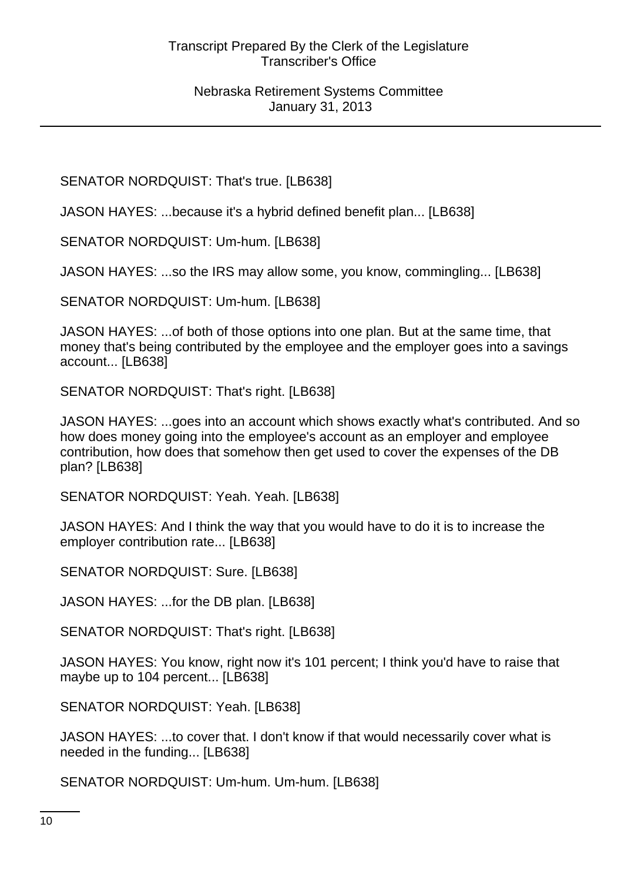SENATOR NORDQUIST: That's true. [LB638]

JASON HAYES: ...because it's a hybrid defined benefit plan... [LB638]

SENATOR NORDQUIST: Um-hum. [LB638]

JASON HAYES: ...so the IRS may allow some, you know, commingling... [LB638]

SENATOR NORDQUIST: Um-hum. [LB638]

JASON HAYES: ...of both of those options into one plan. But at the same time, that money that's being contributed by the employee and the employer goes into a savings account... [LB638]

SENATOR NORDQUIST: That's right. [LB638]

JASON HAYES: ...goes into an account which shows exactly what's contributed. And so how does money going into the employee's account as an employer and employee contribution, how does that somehow then get used to cover the expenses of the DB plan? [LB638]

SENATOR NORDQUIST: Yeah. Yeah. [LB638]

JASON HAYES: And I think the way that you would have to do it is to increase the employer contribution rate... [LB638]

SENATOR NORDQUIST: Sure. [LB638]

JASON HAYES: ...for the DB plan. [LB638]

SENATOR NORDQUIST: That's right. [LB638]

JASON HAYES: You know, right now it's 101 percent; I think you'd have to raise that maybe up to 104 percent... [LB638]

SENATOR NORDQUIST: Yeah. [LB638]

JASON HAYES: ...to cover that. I don't know if that would necessarily cover what is needed in the funding... [LB638]

SENATOR NORDQUIST: Um-hum. Um-hum. [LB638]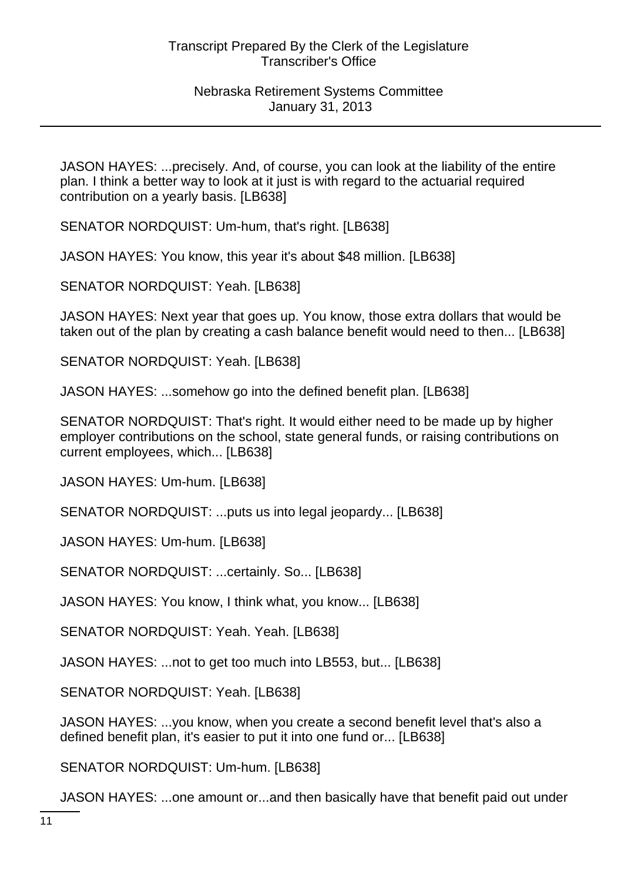JASON HAYES: ...precisely. And, of course, you can look at the liability of the entire plan. I think a better way to look at it just is with regard to the actuarial required contribution on a yearly basis. [LB638]

SENATOR NORDQUIST: Um-hum, that's right. [LB638]

JASON HAYES: You know, this year it's about \$48 million. [LB638]

SENATOR NORDQUIST: Yeah. [LB638]

JASON HAYES: Next year that goes up. You know, those extra dollars that would be taken out of the plan by creating a cash balance benefit would need to then... [LB638]

SENATOR NORDQUIST: Yeah. [LB638]

JASON HAYES: ...somehow go into the defined benefit plan. [LB638]

SENATOR NORDQUIST: That's right. It would either need to be made up by higher employer contributions on the school, state general funds, or raising contributions on current employees, which... [LB638]

JASON HAYES: Um-hum. [LB638]

SENATOR NORDQUIST: ...puts us into legal jeopardy... [LB638]

JASON HAYES: Um-hum. [LB638]

SENATOR NORDQUIST: ...certainly. So... [LB638]

JASON HAYES: You know, I think what, you know... [LB638]

SENATOR NORDQUIST: Yeah. Yeah. [LB638]

JASON HAYES: ...not to get too much into LB553, but... [LB638]

SENATOR NORDQUIST: Yeah. [LB638]

JASON HAYES: ...you know, when you create a second benefit level that's also a defined benefit plan, it's easier to put it into one fund or... [LB638]

SENATOR NORDQUIST: Um-hum. [LB638]

JASON HAYES: ...one amount or...and then basically have that benefit paid out under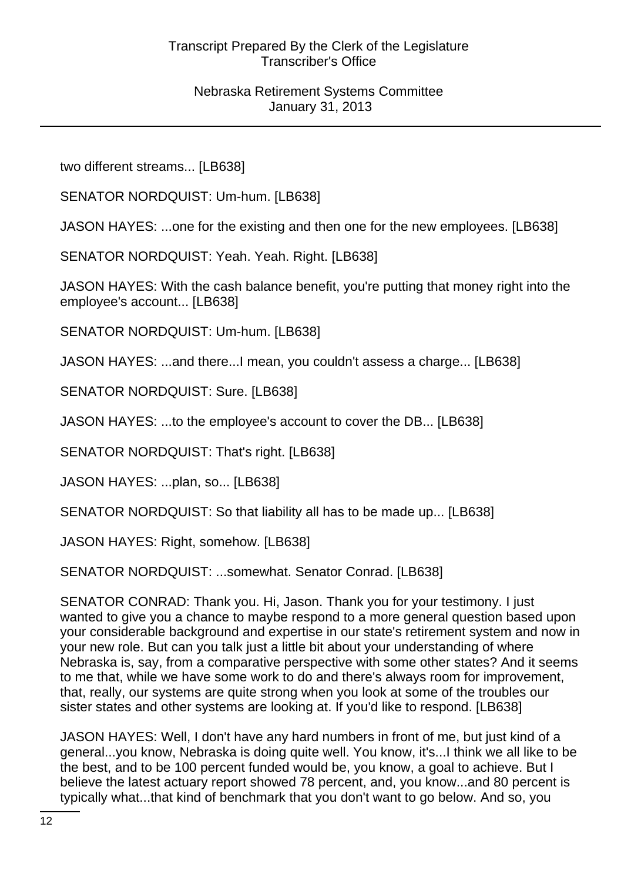two different streams... [LB638]

SENATOR NORDQUIST: Um-hum. [LB638]

JASON HAYES: ...one for the existing and then one for the new employees. [LB638]

SENATOR NORDQUIST: Yeah. Yeah. Right. [LB638]

JASON HAYES: With the cash balance benefit, you're putting that money right into the employee's account... [LB638]

SENATOR NORDQUIST: Um-hum. [LB638]

JASON HAYES: ...and there...I mean, you couldn't assess a charge... [LB638]

SENATOR NORDQUIST: Sure. [LB638]

JASON HAYES: ...to the employee's account to cover the DB... [LB638]

SENATOR NORDQUIST: That's right. [LB638]

JASON HAYES: ...plan, so... [LB638]

SENATOR NORDQUIST: So that liability all has to be made up... [LB638]

JASON HAYES: Right, somehow. [LB638]

SENATOR NORDQUIST: ...somewhat. Senator Conrad. [LB638]

SENATOR CONRAD: Thank you. Hi, Jason. Thank you for your testimony. I just wanted to give you a chance to maybe respond to a more general question based upon your considerable background and expertise in our state's retirement system and now in your new role. But can you talk just a little bit about your understanding of where Nebraska is, say, from a comparative perspective with some other states? And it seems to me that, while we have some work to do and there's always room for improvement, that, really, our systems are quite strong when you look at some of the troubles our sister states and other systems are looking at. If you'd like to respond. [LB638]

JASON HAYES: Well, I don't have any hard numbers in front of me, but just kind of a general...you know, Nebraska is doing quite well. You know, it's...I think we all like to be the best, and to be 100 percent funded would be, you know, a goal to achieve. But I believe the latest actuary report showed 78 percent, and, you know...and 80 percent is typically what...that kind of benchmark that you don't want to go below. And so, you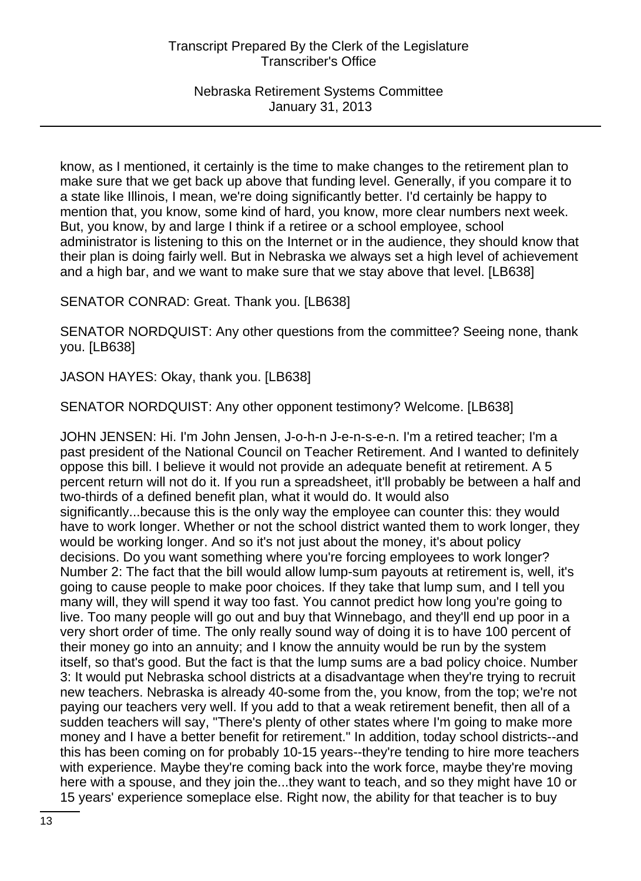know, as I mentioned, it certainly is the time to make changes to the retirement plan to make sure that we get back up above that funding level. Generally, if you compare it to a state like Illinois, I mean, we're doing significantly better. I'd certainly be happy to mention that, you know, some kind of hard, you know, more clear numbers next week. But, you know, by and large I think if a retiree or a school employee, school administrator is listening to this on the Internet or in the audience, they should know that their plan is doing fairly well. But in Nebraska we always set a high level of achievement and a high bar, and we want to make sure that we stay above that level. [LB638]

SENATOR CONRAD: Great. Thank you. [LB638]

SENATOR NORDQUIST: Any other questions from the committee? Seeing none, thank you. [LB638]

JASON HAYES: Okay, thank you. [LB638]

SENATOR NORDQUIST: Any other opponent testimony? Welcome. [LB638]

JOHN JENSEN: Hi. I'm John Jensen, J-o-h-n J-e-n-s-e-n. I'm a retired teacher; I'm a past president of the National Council on Teacher Retirement. And I wanted to definitely oppose this bill. I believe it would not provide an adequate benefit at retirement. A 5 percent return will not do it. If you run a spreadsheet, it'll probably be between a half and two-thirds of a defined benefit plan, what it would do. It would also significantly...because this is the only way the employee can counter this: they would have to work longer. Whether or not the school district wanted them to work longer, they would be working longer. And so it's not just about the money, it's about policy decisions. Do you want something where you're forcing employees to work longer? Number 2: The fact that the bill would allow lump-sum payouts at retirement is, well, it's going to cause people to make poor choices. If they take that lump sum, and I tell you many will, they will spend it way too fast. You cannot predict how long you're going to live. Too many people will go out and buy that Winnebago, and they'll end up poor in a very short order of time. The only really sound way of doing it is to have 100 percent of their money go into an annuity; and I know the annuity would be run by the system itself, so that's good. But the fact is that the lump sums are a bad policy choice. Number 3: It would put Nebraska school districts at a disadvantage when they're trying to recruit new teachers. Nebraska is already 40-some from the, you know, from the top; we're not paying our teachers very well. If you add to that a weak retirement benefit, then all of a sudden teachers will say, "There's plenty of other states where I'm going to make more money and I have a better benefit for retirement." In addition, today school districts--and this has been coming on for probably 10-15 years--they're tending to hire more teachers with experience. Maybe they're coming back into the work force, maybe they're moving here with a spouse, and they join the...they want to teach, and so they might have 10 or 15 years' experience someplace else. Right now, the ability for that teacher is to buy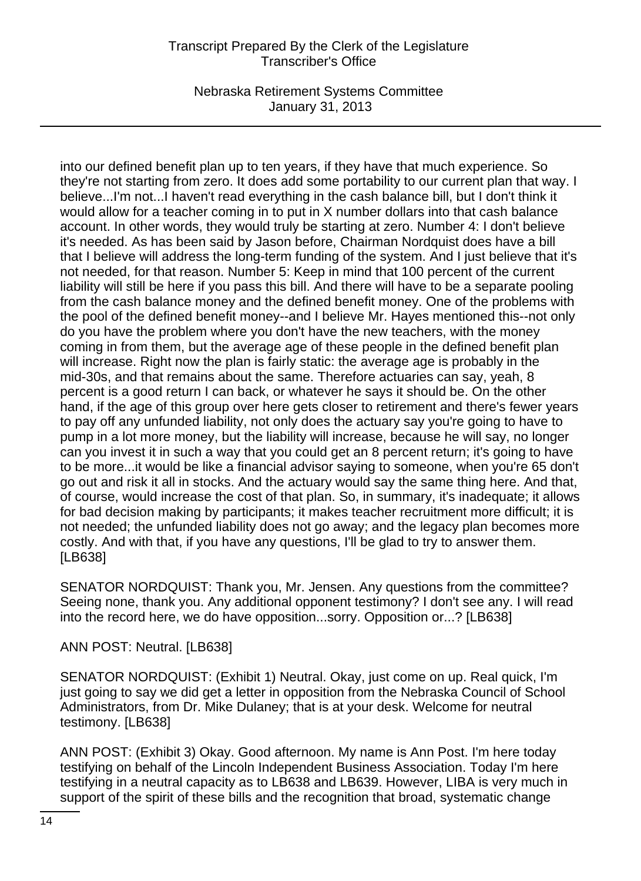Nebraska Retirement Systems Committee January 31, 2013

into our defined benefit plan up to ten years, if they have that much experience. So they're not starting from zero. It does add some portability to our current plan that way. I believe...I'm not...I haven't read everything in the cash balance bill, but I don't think it would allow for a teacher coming in to put in X number dollars into that cash balance account. In other words, they would truly be starting at zero. Number 4: I don't believe it's needed. As has been said by Jason before, Chairman Nordquist does have a bill that I believe will address the long-term funding of the system. And I just believe that it's not needed, for that reason. Number 5: Keep in mind that 100 percent of the current liability will still be here if you pass this bill. And there will have to be a separate pooling from the cash balance money and the defined benefit money. One of the problems with the pool of the defined benefit money--and I believe Mr. Hayes mentioned this--not only do you have the problem where you don't have the new teachers, with the money coming in from them, but the average age of these people in the defined benefit plan will increase. Right now the plan is fairly static: the average age is probably in the mid-30s, and that remains about the same. Therefore actuaries can say, yeah, 8 percent is a good return I can back, or whatever he says it should be. On the other hand, if the age of this group over here gets closer to retirement and there's fewer years to pay off any unfunded liability, not only does the actuary say you're going to have to pump in a lot more money, but the liability will increase, because he will say, no longer can you invest it in such a way that you could get an 8 percent return; it's going to have to be more...it would be like a financial advisor saying to someone, when you're 65 don't go out and risk it all in stocks. And the actuary would say the same thing here. And that, of course, would increase the cost of that plan. So, in summary, it's inadequate; it allows for bad decision making by participants; it makes teacher recruitment more difficult; it is not needed; the unfunded liability does not go away; and the legacy plan becomes more costly. And with that, if you have any questions, I'll be glad to try to answer them. [LB638]

SENATOR NORDQUIST: Thank you, Mr. Jensen. Any questions from the committee? Seeing none, thank you. Any additional opponent testimony? I don't see any. I will read into the record here, we do have opposition...sorry. Opposition or...? [LB638]

ANN POST: Neutral. [LB638]

SENATOR NORDQUIST: (Exhibit 1) Neutral. Okay, just come on up. Real quick, I'm just going to say we did get a letter in opposition from the Nebraska Council of School Administrators, from Dr. Mike Dulaney; that is at your desk. Welcome for neutral testimony. [LB638]

ANN POST: (Exhibit 3) Okay. Good afternoon. My name is Ann Post. I'm here today testifying on behalf of the Lincoln Independent Business Association. Today I'm here testifying in a neutral capacity as to LB638 and LB639. However, LIBA is very much in support of the spirit of these bills and the recognition that broad, systematic change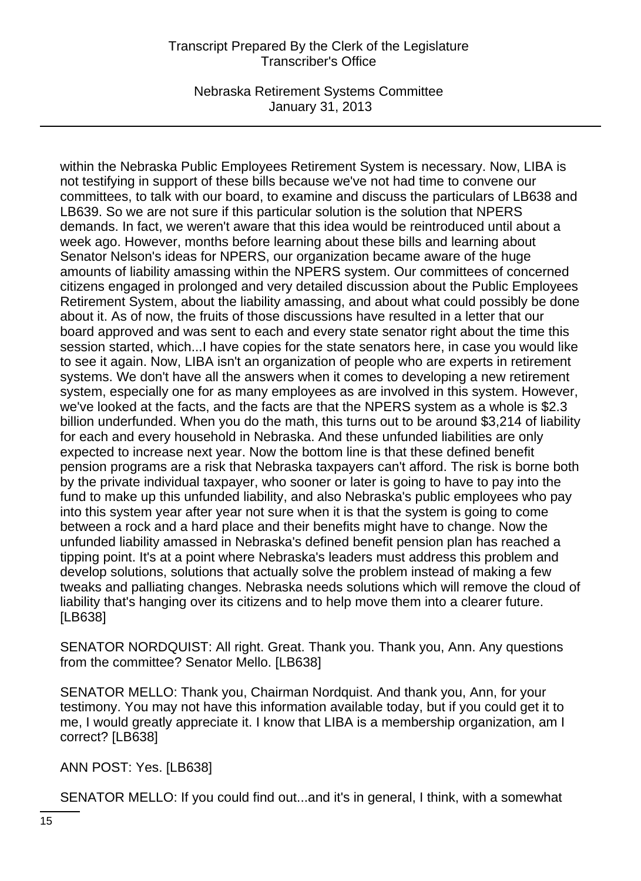Nebraska Retirement Systems Committee January 31, 2013

within the Nebraska Public Employees Retirement System is necessary. Now, LIBA is not testifying in support of these bills because we've not had time to convene our committees, to talk with our board, to examine and discuss the particulars of LB638 and LB639. So we are not sure if this particular solution is the solution that NPERS demands. In fact, we weren't aware that this idea would be reintroduced until about a week ago. However, months before learning about these bills and learning about Senator Nelson's ideas for NPERS, our organization became aware of the huge amounts of liability amassing within the NPERS system. Our committees of concerned citizens engaged in prolonged and very detailed discussion about the Public Employees Retirement System, about the liability amassing, and about what could possibly be done about it. As of now, the fruits of those discussions have resulted in a letter that our board approved and was sent to each and every state senator right about the time this session started, which...I have copies for the state senators here, in case you would like to see it again. Now, LIBA isn't an organization of people who are experts in retirement systems. We don't have all the answers when it comes to developing a new retirement system, especially one for as many employees as are involved in this system. However, we've looked at the facts, and the facts are that the NPERS system as a whole is \$2.3 billion underfunded. When you do the math, this turns out to be around \$3,214 of liability for each and every household in Nebraska. And these unfunded liabilities are only expected to increase next year. Now the bottom line is that these defined benefit pension programs are a risk that Nebraska taxpayers can't afford. The risk is borne both by the private individual taxpayer, who sooner or later is going to have to pay into the fund to make up this unfunded liability, and also Nebraska's public employees who pay into this system year after year not sure when it is that the system is going to come between a rock and a hard place and their benefits might have to change. Now the unfunded liability amassed in Nebraska's defined benefit pension plan has reached a tipping point. It's at a point where Nebraska's leaders must address this problem and develop solutions, solutions that actually solve the problem instead of making a few tweaks and palliating changes. Nebraska needs solutions which will remove the cloud of liability that's hanging over its citizens and to help move them into a clearer future. [LB638]

SENATOR NORDQUIST: All right. Great. Thank you. Thank you, Ann. Any questions from the committee? Senator Mello. [LB638]

SENATOR MELLO: Thank you, Chairman Nordquist. And thank you, Ann, for your testimony. You may not have this information available today, but if you could get it to me, I would greatly appreciate it. I know that LIBA is a membership organization, am I correct? [LB638]

ANN POST: Yes. [LB638]

SENATOR MELLO: If you could find out...and it's in general, I think, with a somewhat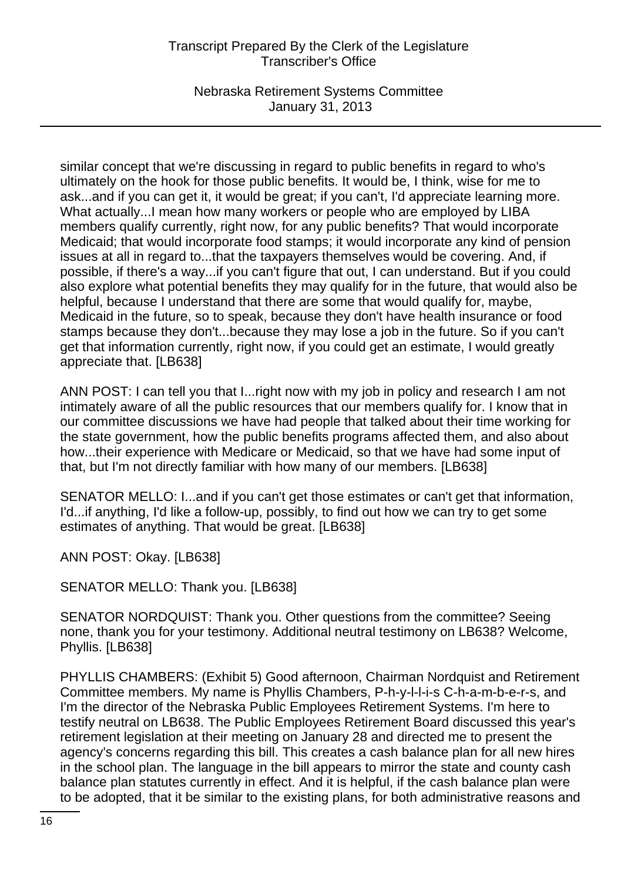Nebraska Retirement Systems Committee January 31, 2013

similar concept that we're discussing in regard to public benefits in regard to who's ultimately on the hook for those public benefits. It would be, I think, wise for me to ask...and if you can get it, it would be great; if you can't, I'd appreciate learning more. What actually...I mean how many workers or people who are employed by LIBA members qualify currently, right now, for any public benefits? That would incorporate Medicaid; that would incorporate food stamps; it would incorporate any kind of pension issues at all in regard to...that the taxpayers themselves would be covering. And, if possible, if there's a way...if you can't figure that out, I can understand. But if you could also explore what potential benefits they may qualify for in the future, that would also be helpful, because I understand that there are some that would qualify for, maybe, Medicaid in the future, so to speak, because they don't have health insurance or food stamps because they don't...because they may lose a job in the future. So if you can't get that information currently, right now, if you could get an estimate, I would greatly appreciate that. [LB638]

ANN POST: I can tell you that I...right now with my job in policy and research I am not intimately aware of all the public resources that our members qualify for. I know that in our committee discussions we have had people that talked about their time working for the state government, how the public benefits programs affected them, and also about how...their experience with Medicare or Medicaid, so that we have had some input of that, but I'm not directly familiar with how many of our members. [LB638]

SENATOR MELLO: I...and if you can't get those estimates or can't get that information, I'd...if anything, I'd like a follow-up, possibly, to find out how we can try to get some estimates of anything. That would be great. [LB638]

ANN POST: Okay. [LB638]

SENATOR MELLO: Thank you. [LB638]

SENATOR NORDQUIST: Thank you. Other questions from the committee? Seeing none, thank you for your testimony. Additional neutral testimony on LB638? Welcome, Phyllis. [LB638]

PHYLLIS CHAMBERS: (Exhibit 5) Good afternoon, Chairman Nordquist and Retirement Committee members. My name is Phyllis Chambers, P-h-y-l-l-i-s C-h-a-m-b-e-r-s, and I'm the director of the Nebraska Public Employees Retirement Systems. I'm here to testify neutral on LB638. The Public Employees Retirement Board discussed this year's retirement legislation at their meeting on January 28 and directed me to present the agency's concerns regarding this bill. This creates a cash balance plan for all new hires in the school plan. The language in the bill appears to mirror the state and county cash balance plan statutes currently in effect. And it is helpful, if the cash balance plan were to be adopted, that it be similar to the existing plans, for both administrative reasons and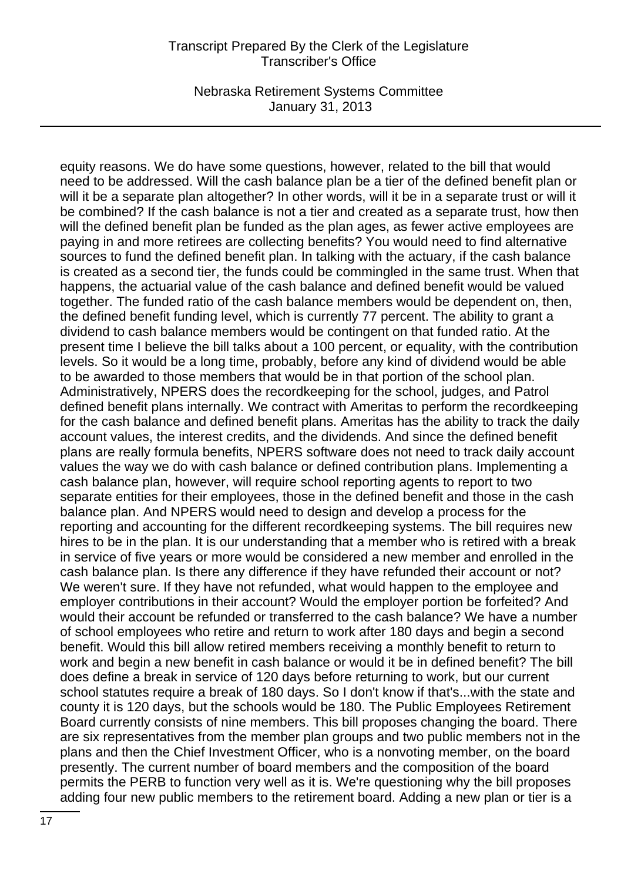Nebraska Retirement Systems Committee January 31, 2013

equity reasons. We do have some questions, however, related to the bill that would need to be addressed. Will the cash balance plan be a tier of the defined benefit plan or will it be a separate plan altogether? In other words, will it be in a separate trust or will it be combined? If the cash balance is not a tier and created as a separate trust, how then will the defined benefit plan be funded as the plan ages, as fewer active employees are paying in and more retirees are collecting benefits? You would need to find alternative sources to fund the defined benefit plan. In talking with the actuary, if the cash balance is created as a second tier, the funds could be commingled in the same trust. When that happens, the actuarial value of the cash balance and defined benefit would be valued together. The funded ratio of the cash balance members would be dependent on, then, the defined benefit funding level, which is currently 77 percent. The ability to grant a dividend to cash balance members would be contingent on that funded ratio. At the present time I believe the bill talks about a 100 percent, or equality, with the contribution levels. So it would be a long time, probably, before any kind of dividend would be able to be awarded to those members that would be in that portion of the school plan. Administratively, NPERS does the recordkeeping for the school, judges, and Patrol defined benefit plans internally. We contract with Ameritas to perform the recordkeeping for the cash balance and defined benefit plans. Ameritas has the ability to track the daily account values, the interest credits, and the dividends. And since the defined benefit plans are really formula benefits, NPERS software does not need to track daily account values the way we do with cash balance or defined contribution plans. Implementing a cash balance plan, however, will require school reporting agents to report to two separate entities for their employees, those in the defined benefit and those in the cash balance plan. And NPERS would need to design and develop a process for the reporting and accounting for the different recordkeeping systems. The bill requires new hires to be in the plan. It is our understanding that a member who is retired with a break in service of five years or more would be considered a new member and enrolled in the cash balance plan. Is there any difference if they have refunded their account or not? We weren't sure. If they have not refunded, what would happen to the employee and employer contributions in their account? Would the employer portion be forfeited? And would their account be refunded or transferred to the cash balance? We have a number of school employees who retire and return to work after 180 days and begin a second benefit. Would this bill allow retired members receiving a monthly benefit to return to work and begin a new benefit in cash balance or would it be in defined benefit? The bill does define a break in service of 120 days before returning to work, but our current school statutes require a break of 180 days. So I don't know if that's...with the state and county it is 120 days, but the schools would be 180. The Public Employees Retirement Board currently consists of nine members. This bill proposes changing the board. There are six representatives from the member plan groups and two public members not in the plans and then the Chief Investment Officer, who is a nonvoting member, on the board presently. The current number of board members and the composition of the board permits the PERB to function very well as it is. We're questioning why the bill proposes adding four new public members to the retirement board. Adding a new plan or tier is a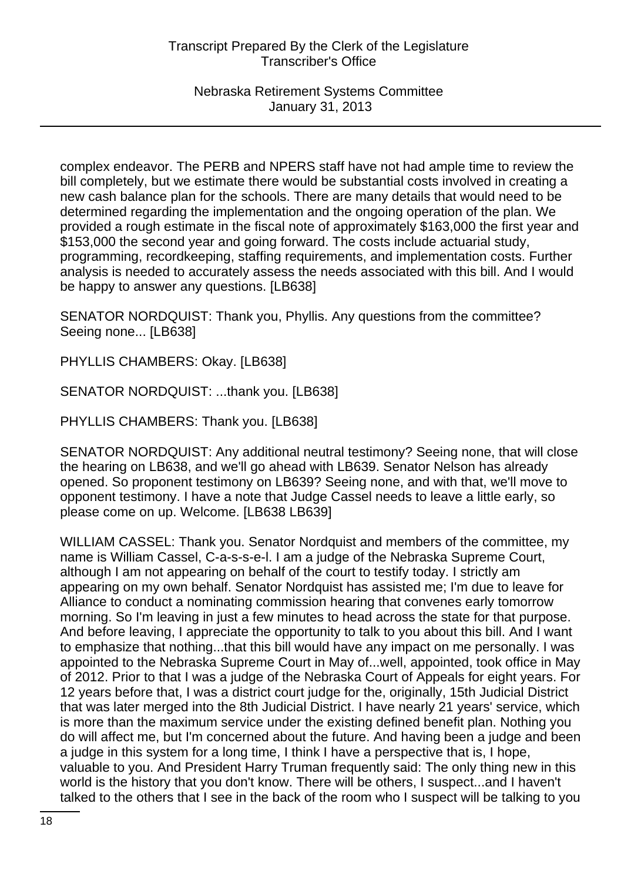complex endeavor. The PERB and NPERS staff have not had ample time to review the bill completely, but we estimate there would be substantial costs involved in creating a new cash balance plan for the schools. There are many details that would need to be determined regarding the implementation and the ongoing operation of the plan. We provided a rough estimate in the fiscal note of approximately \$163,000 the first year and \$153,000 the second year and going forward. The costs include actuarial study, programming, recordkeeping, staffing requirements, and implementation costs. Further analysis is needed to accurately assess the needs associated with this bill. And I would be happy to answer any questions. [LB638]

SENATOR NORDQUIST: Thank you, Phyllis. Any questions from the committee? Seeing none... [LB638]

PHYLLIS CHAMBERS: Okay. [LB638]

SENATOR NORDQUIST: ...thank you. [LB638]

PHYLLIS CHAMBERS: Thank you. [LB638]

SENATOR NORDQUIST: Any additional neutral testimony? Seeing none, that will close the hearing on LB638, and we'll go ahead with LB639. Senator Nelson has already opened. So proponent testimony on LB639? Seeing none, and with that, we'll move to opponent testimony. I have a note that Judge Cassel needs to leave a little early, so please come on up. Welcome. [LB638 LB639]

WILLIAM CASSEL: Thank you. Senator Nordquist and members of the committee, my name is William Cassel, C-a-s-s-e-l. I am a judge of the Nebraska Supreme Court, although I am not appearing on behalf of the court to testify today. I strictly am appearing on my own behalf. Senator Nordquist has assisted me; I'm due to leave for Alliance to conduct a nominating commission hearing that convenes early tomorrow morning. So I'm leaving in just a few minutes to head across the state for that purpose. And before leaving, I appreciate the opportunity to talk to you about this bill. And I want to emphasize that nothing...that this bill would have any impact on me personally. I was appointed to the Nebraska Supreme Court in May of...well, appointed, took office in May of 2012. Prior to that I was a judge of the Nebraska Court of Appeals for eight years. For 12 years before that, I was a district court judge for the, originally, 15th Judicial District that was later merged into the 8th Judicial District. I have nearly 21 years' service, which is more than the maximum service under the existing defined benefit plan. Nothing you do will affect me, but I'm concerned about the future. And having been a judge and been a judge in this system for a long time, I think I have a perspective that is, I hope, valuable to you. And President Harry Truman frequently said: The only thing new in this world is the history that you don't know. There will be others, I suspect...and I haven't talked to the others that I see in the back of the room who I suspect will be talking to you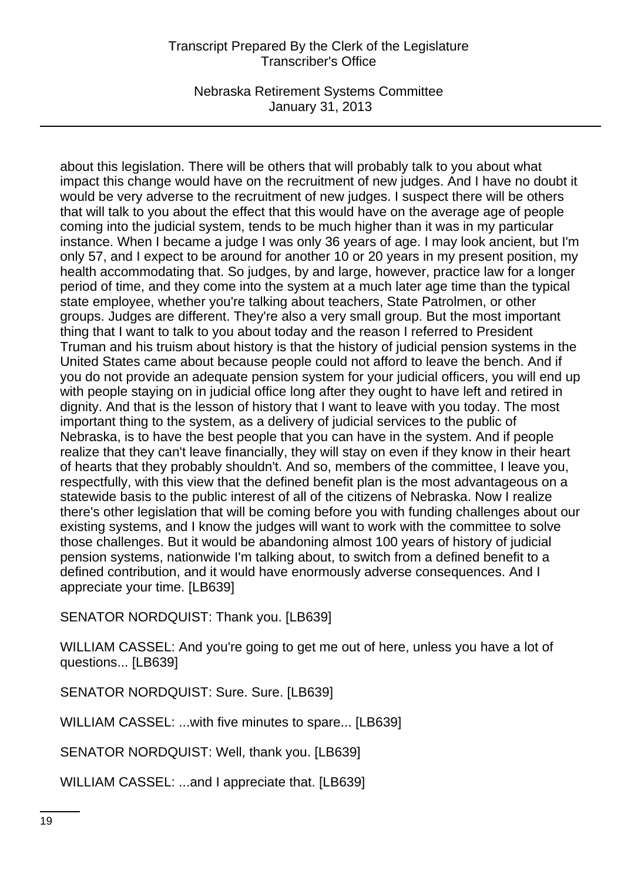Nebraska Retirement Systems Committee January 31, 2013

about this legislation. There will be others that will probably talk to you about what impact this change would have on the recruitment of new judges. And I have no doubt it would be very adverse to the recruitment of new judges. I suspect there will be others that will talk to you about the effect that this would have on the average age of people coming into the judicial system, tends to be much higher than it was in my particular instance. When I became a judge I was only 36 years of age. I may look ancient, but I'm only 57, and I expect to be around for another 10 or 20 years in my present position, my health accommodating that. So judges, by and large, however, practice law for a longer period of time, and they come into the system at a much later age time than the typical state employee, whether you're talking about teachers, State Patrolmen, or other groups. Judges are different. They're also a very small group. But the most important thing that I want to talk to you about today and the reason I referred to President Truman and his truism about history is that the history of judicial pension systems in the United States came about because people could not afford to leave the bench. And if you do not provide an adequate pension system for your judicial officers, you will end up with people staying on in judicial office long after they ought to have left and retired in dignity. And that is the lesson of history that I want to leave with you today. The most important thing to the system, as a delivery of judicial services to the public of Nebraska, is to have the best people that you can have in the system. And if people realize that they can't leave financially, they will stay on even if they know in their heart of hearts that they probably shouldn't. And so, members of the committee, I leave you, respectfully, with this view that the defined benefit plan is the most advantageous on a statewide basis to the public interest of all of the citizens of Nebraska. Now I realize there's other legislation that will be coming before you with funding challenges about our existing systems, and I know the judges will want to work with the committee to solve those challenges. But it would be abandoning almost 100 years of history of judicial pension systems, nationwide I'm talking about, to switch from a defined benefit to a defined contribution, and it would have enormously adverse consequences. And I appreciate your time. [LB639]

SENATOR NORDQUIST: Thank you. [LB639]

WILLIAM CASSEL: And you're going to get me out of here, unless you have a lot of questions... [LB639]

SENATOR NORDQUIST: Sure. Sure. [LB639]

WILLIAM CASSEL: ...with five minutes to spare... [LB639]

SENATOR NORDQUIST: Well, thank you. [LB639]

WILLIAM CASSEL: ...and I appreciate that. [LB639]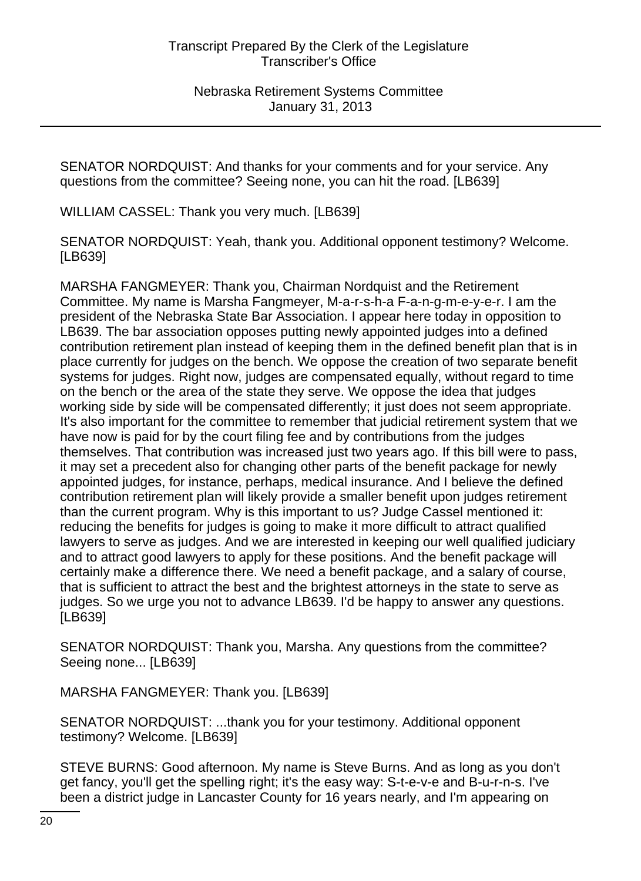SENATOR NORDQUIST: And thanks for your comments and for your service. Any questions from the committee? Seeing none, you can hit the road. [LB639]

WILLIAM CASSEL: Thank you very much. [LB639]

SENATOR NORDQUIST: Yeah, thank you. Additional opponent testimony? Welcome. [LB639]

MARSHA FANGMEYER: Thank you, Chairman Nordquist and the Retirement Committee. My name is Marsha Fangmeyer, M-a-r-s-h-a F-a-n-g-m-e-y-e-r. I am the president of the Nebraska State Bar Association. I appear here today in opposition to LB639. The bar association opposes putting newly appointed judges into a defined contribution retirement plan instead of keeping them in the defined benefit plan that is in place currently for judges on the bench. We oppose the creation of two separate benefit systems for judges. Right now, judges are compensated equally, without regard to time on the bench or the area of the state they serve. We oppose the idea that judges working side by side will be compensated differently; it just does not seem appropriate. It's also important for the committee to remember that judicial retirement system that we have now is paid for by the court filing fee and by contributions from the judges themselves. That contribution was increased just two years ago. If this bill were to pass, it may set a precedent also for changing other parts of the benefit package for newly appointed judges, for instance, perhaps, medical insurance. And I believe the defined contribution retirement plan will likely provide a smaller benefit upon judges retirement than the current program. Why is this important to us? Judge Cassel mentioned it: reducing the benefits for judges is going to make it more difficult to attract qualified lawyers to serve as judges. And we are interested in keeping our well qualified judiciary and to attract good lawyers to apply for these positions. And the benefit package will certainly make a difference there. We need a benefit package, and a salary of course, that is sufficient to attract the best and the brightest attorneys in the state to serve as judges. So we urge you not to advance LB639. I'd be happy to answer any questions. [LB639]

SENATOR NORDQUIST: Thank you, Marsha. Any questions from the committee? Seeing none... [LB639]

MARSHA FANGMEYER: Thank you. [LB639]

SENATOR NORDQUIST: ...thank you for your testimony. Additional opponent testimony? Welcome. [LB639]

STEVE BURNS: Good afternoon. My name is Steve Burns. And as long as you don't get fancy, you'll get the spelling right; it's the easy way: S-t-e-v-e and B-u-r-n-s. I've been a district judge in Lancaster County for 16 years nearly, and I'm appearing on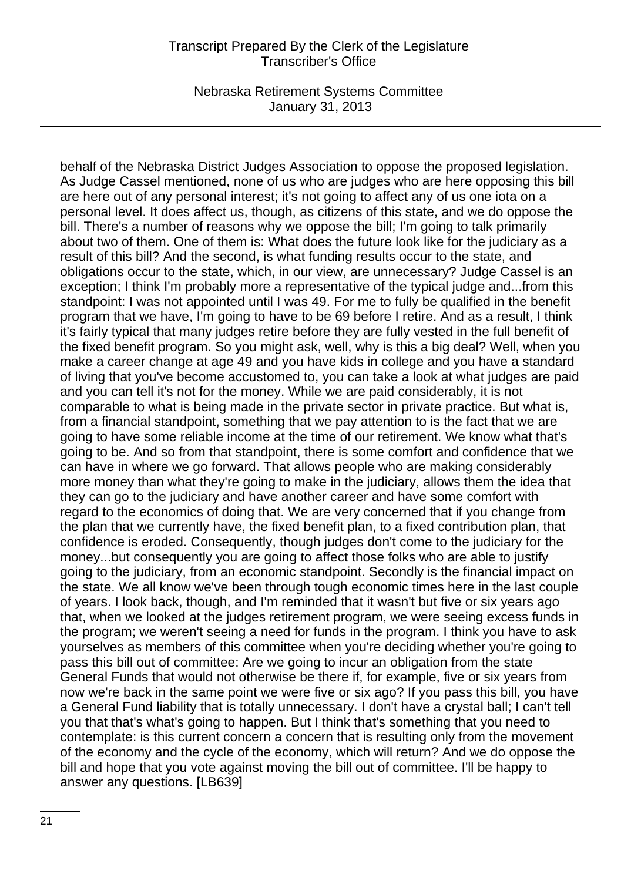Nebraska Retirement Systems Committee January 31, 2013

behalf of the Nebraska District Judges Association to oppose the proposed legislation. As Judge Cassel mentioned, none of us who are judges who are here opposing this bill are here out of any personal interest; it's not going to affect any of us one iota on a personal level. It does affect us, though, as citizens of this state, and we do oppose the bill. There's a number of reasons why we oppose the bill; I'm going to talk primarily about two of them. One of them is: What does the future look like for the judiciary as a result of this bill? And the second, is what funding results occur to the state, and obligations occur to the state, which, in our view, are unnecessary? Judge Cassel is an exception; I think I'm probably more a representative of the typical judge and...from this standpoint: I was not appointed until I was 49. For me to fully be qualified in the benefit program that we have, I'm going to have to be 69 before I retire. And as a result, I think it's fairly typical that many judges retire before they are fully vested in the full benefit of the fixed benefit program. So you might ask, well, why is this a big deal? Well, when you make a career change at age 49 and you have kids in college and you have a standard of living that you've become accustomed to, you can take a look at what judges are paid and you can tell it's not for the money. While we are paid considerably, it is not comparable to what is being made in the private sector in private practice. But what is, from a financial standpoint, something that we pay attention to is the fact that we are going to have some reliable income at the time of our retirement. We know what that's going to be. And so from that standpoint, there is some comfort and confidence that we can have in where we go forward. That allows people who are making considerably more money than what they're going to make in the judiciary, allows them the idea that they can go to the judiciary and have another career and have some comfort with regard to the economics of doing that. We are very concerned that if you change from the plan that we currently have, the fixed benefit plan, to a fixed contribution plan, that confidence is eroded. Consequently, though judges don't come to the judiciary for the money...but consequently you are going to affect those folks who are able to justify going to the judiciary, from an economic standpoint. Secondly is the financial impact on the state. We all know we've been through tough economic times here in the last couple of years. I look back, though, and I'm reminded that it wasn't but five or six years ago that, when we looked at the judges retirement program, we were seeing excess funds in the program; we weren't seeing a need for funds in the program. I think you have to ask yourselves as members of this committee when you're deciding whether you're going to pass this bill out of committee: Are we going to incur an obligation from the state General Funds that would not otherwise be there if, for example, five or six years from now we're back in the same point we were five or six ago? If you pass this bill, you have a General Fund liability that is totally unnecessary. I don't have a crystal ball; I can't tell you that that's what's going to happen. But I think that's something that you need to contemplate: is this current concern a concern that is resulting only from the movement of the economy and the cycle of the economy, which will return? And we do oppose the bill and hope that you vote against moving the bill out of committee. I'll be happy to answer any questions. [LB639]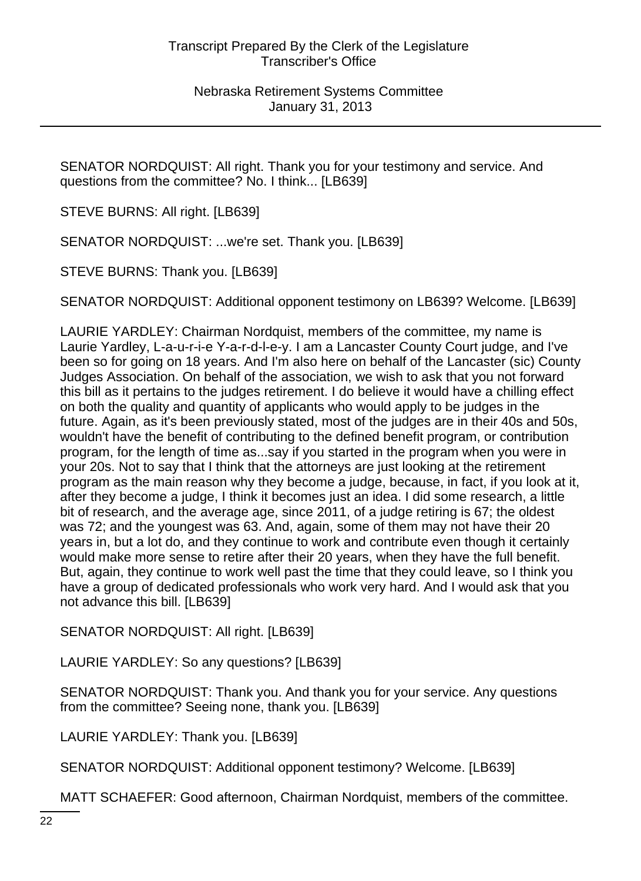SENATOR NORDQUIST: All right. Thank you for your testimony and service. And questions from the committee? No. I think... [LB639]

STEVE BURNS: All right. [LB639]

SENATOR NORDQUIST: ...we're set. Thank you. [LB639]

STEVE BURNS: Thank you. [LB639]

SENATOR NORDQUIST: Additional opponent testimony on LB639? Welcome. [LB639]

LAURIE YARDLEY: Chairman Nordquist, members of the committee, my name is Laurie Yardley, L-a-u-r-i-e Y-a-r-d-l-e-y. I am a Lancaster County Court judge, and I've been so for going on 18 years. And I'm also here on behalf of the Lancaster (sic) County Judges Association. On behalf of the association, we wish to ask that you not forward this bill as it pertains to the judges retirement. I do believe it would have a chilling effect on both the quality and quantity of applicants who would apply to be judges in the future. Again, as it's been previously stated, most of the judges are in their 40s and 50s, wouldn't have the benefit of contributing to the defined benefit program, or contribution program, for the length of time as...say if you started in the program when you were in your 20s. Not to say that I think that the attorneys are just looking at the retirement program as the main reason why they become a judge, because, in fact, if you look at it, after they become a judge, I think it becomes just an idea. I did some research, a little bit of research, and the average age, since 2011, of a judge retiring is 67; the oldest was 72; and the youngest was 63. And, again, some of them may not have their 20 years in, but a lot do, and they continue to work and contribute even though it certainly would make more sense to retire after their 20 years, when they have the full benefit. But, again, they continue to work well past the time that they could leave, so I think you have a group of dedicated professionals who work very hard. And I would ask that you not advance this bill. [LB639]

SENATOR NORDQUIST: All right. [LB639]

LAURIE YARDLEY: So any questions? [LB639]

SENATOR NORDQUIST: Thank you. And thank you for your service. Any questions from the committee? Seeing none, thank you. [LB639]

LAURIE YARDLEY: Thank you. [LB639]

SENATOR NORDQUIST: Additional opponent testimony? Welcome. [LB639]

MATT SCHAEFER: Good afternoon, Chairman Nordquist, members of the committee.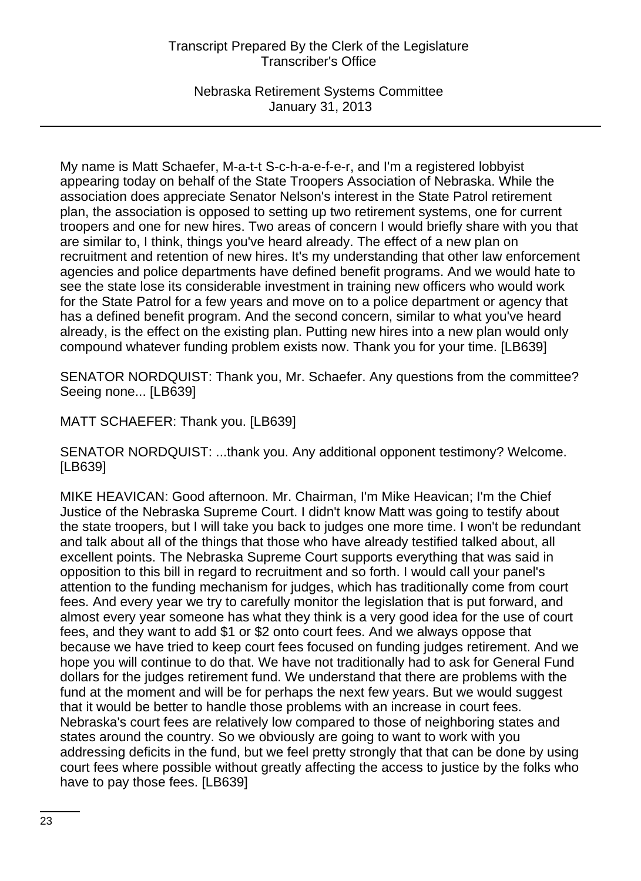Nebraska Retirement Systems Committee January 31, 2013

My name is Matt Schaefer, M-a-t-t S-c-h-a-e-f-e-r, and I'm a registered lobbyist appearing today on behalf of the State Troopers Association of Nebraska. While the association does appreciate Senator Nelson's interest in the State Patrol retirement plan, the association is opposed to setting up two retirement systems, one for current troopers and one for new hires. Two areas of concern I would briefly share with you that are similar to, I think, things you've heard already. The effect of a new plan on recruitment and retention of new hires. It's my understanding that other law enforcement agencies and police departments have defined benefit programs. And we would hate to see the state lose its considerable investment in training new officers who would work for the State Patrol for a few years and move on to a police department or agency that has a defined benefit program. And the second concern, similar to what you've heard already, is the effect on the existing plan. Putting new hires into a new plan would only compound whatever funding problem exists now. Thank you for your time. [LB639]

SENATOR NORDQUIST: Thank you, Mr. Schaefer. Any questions from the committee? Seeing none... [LB639]

MATT SCHAEFER: Thank you. [LB639]

SENATOR NORDQUIST: ...thank you. Any additional opponent testimony? Welcome. [LB639]

MIKE HEAVICAN: Good afternoon. Mr. Chairman, I'm Mike Heavican; I'm the Chief Justice of the Nebraska Supreme Court. I didn't know Matt was going to testify about the state troopers, but I will take you back to judges one more time. I won't be redundant and talk about all of the things that those who have already testified talked about, all excellent points. The Nebraska Supreme Court supports everything that was said in opposition to this bill in regard to recruitment and so forth. I would call your panel's attention to the funding mechanism for judges, which has traditionally come from court fees. And every year we try to carefully monitor the legislation that is put forward, and almost every year someone has what they think is a very good idea for the use of court fees, and they want to add \$1 or \$2 onto court fees. And we always oppose that because we have tried to keep court fees focused on funding judges retirement. And we hope you will continue to do that. We have not traditionally had to ask for General Fund dollars for the judges retirement fund. We understand that there are problems with the fund at the moment and will be for perhaps the next few years. But we would suggest that it would be better to handle those problems with an increase in court fees. Nebraska's court fees are relatively low compared to those of neighboring states and states around the country. So we obviously are going to want to work with you addressing deficits in the fund, but we feel pretty strongly that that can be done by using court fees where possible without greatly affecting the access to justice by the folks who have to pay those fees. [LB639]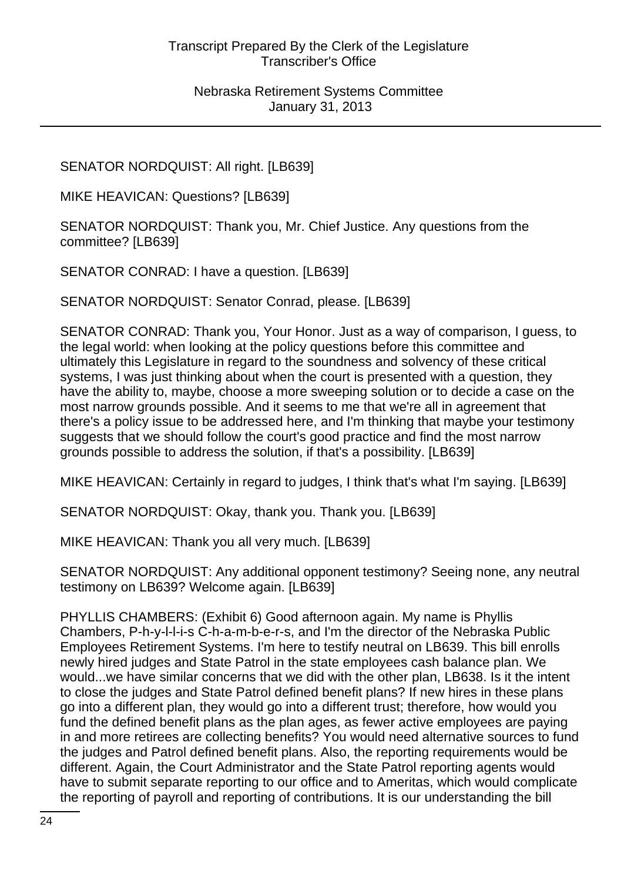SENATOR NORDQUIST: All right. [LB639]

MIKE HEAVICAN: Questions? [LB639]

SENATOR NORDQUIST: Thank you, Mr. Chief Justice. Any questions from the committee? [LB639]

SENATOR CONRAD: I have a question. [LB639]

SENATOR NORDQUIST: Senator Conrad, please. [LB639]

SENATOR CONRAD: Thank you, Your Honor. Just as a way of comparison, I guess, to the legal world: when looking at the policy questions before this committee and ultimately this Legislature in regard to the soundness and solvency of these critical systems, I was just thinking about when the court is presented with a question, they have the ability to, maybe, choose a more sweeping solution or to decide a case on the most narrow grounds possible. And it seems to me that we're all in agreement that there's a policy issue to be addressed here, and I'm thinking that maybe your testimony suggests that we should follow the court's good practice and find the most narrow grounds possible to address the solution, if that's a possibility. [LB639]

MIKE HEAVICAN: Certainly in regard to judges, I think that's what I'm saying. [LB639]

SENATOR NORDQUIST: Okay, thank you. Thank you. [LB639]

MIKE HEAVICAN: Thank you all very much. [LB639]

SENATOR NORDQUIST: Any additional opponent testimony? Seeing none, any neutral testimony on LB639? Welcome again. [LB639]

PHYLLIS CHAMBERS: (Exhibit 6) Good afternoon again. My name is Phyllis Chambers, P-h-y-l-l-i-s C-h-a-m-b-e-r-s, and I'm the director of the Nebraska Public Employees Retirement Systems. I'm here to testify neutral on LB639. This bill enrolls newly hired judges and State Patrol in the state employees cash balance plan. We would...we have similar concerns that we did with the other plan, LB638. Is it the intent to close the judges and State Patrol defined benefit plans? If new hires in these plans go into a different plan, they would go into a different trust; therefore, how would you fund the defined benefit plans as the plan ages, as fewer active employees are paying in and more retirees are collecting benefits? You would need alternative sources to fund the judges and Patrol defined benefit plans. Also, the reporting requirements would be different. Again, the Court Administrator and the State Patrol reporting agents would have to submit separate reporting to our office and to Ameritas, which would complicate the reporting of payroll and reporting of contributions. It is our understanding the bill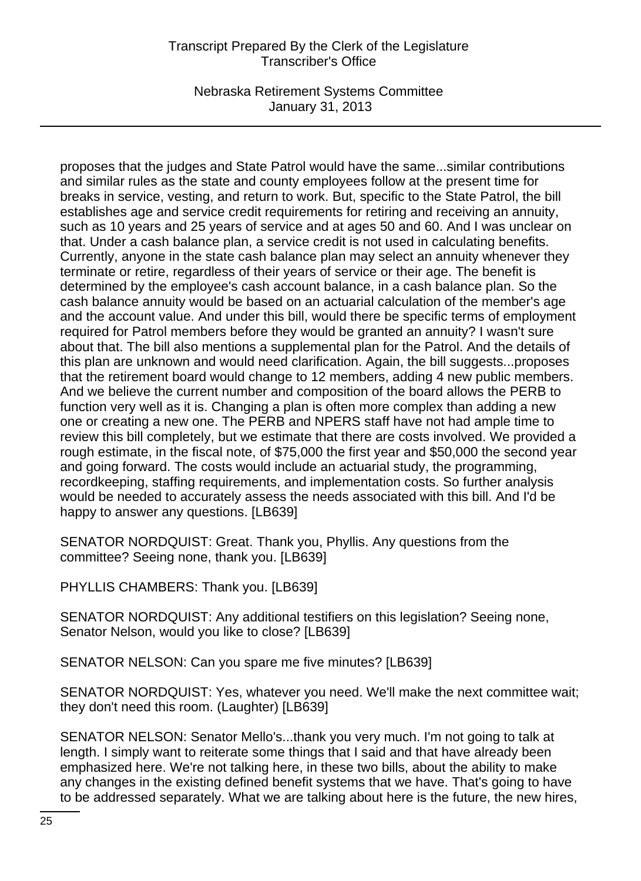Nebraska Retirement Systems Committee January 31, 2013

proposes that the judges and State Patrol would have the same...similar contributions and similar rules as the state and county employees follow at the present time for breaks in service, vesting, and return to work. But, specific to the State Patrol, the bill establishes age and service credit requirements for retiring and receiving an annuity, such as 10 years and 25 years of service and at ages 50 and 60. And I was unclear on that. Under a cash balance plan, a service credit is not used in calculating benefits. Currently, anyone in the state cash balance plan may select an annuity whenever they terminate or retire, regardless of their years of service or their age. The benefit is determined by the employee's cash account balance, in a cash balance plan. So the cash balance annuity would be based on an actuarial calculation of the member's age and the account value. And under this bill, would there be specific terms of employment required for Patrol members before they would be granted an annuity? I wasn't sure about that. The bill also mentions a supplemental plan for the Patrol. And the details of this plan are unknown and would need clarification. Again, the bill suggests...proposes that the retirement board would change to 12 members, adding 4 new public members. And we believe the current number and composition of the board allows the PERB to function very well as it is. Changing a plan is often more complex than adding a new one or creating a new one. The PERB and NPERS staff have not had ample time to review this bill completely, but we estimate that there are costs involved. We provided a rough estimate, in the fiscal note, of \$75,000 the first year and \$50,000 the second year and going forward. The costs would include an actuarial study, the programming, recordkeeping, staffing requirements, and implementation costs. So further analysis would be needed to accurately assess the needs associated with this bill. And I'd be happy to answer any questions. [LB639]

SENATOR NORDQUIST: Great. Thank you, Phyllis. Any questions from the committee? Seeing none, thank you. [LB639]

PHYLLIS CHAMBERS: Thank you. [LB639]

SENATOR NORDQUIST: Any additional testifiers on this legislation? Seeing none, Senator Nelson, would you like to close? [LB639]

SENATOR NELSON: Can you spare me five minutes? [LB639]

SENATOR NORDQUIST: Yes, whatever you need. We'll make the next committee wait; they don't need this room. (Laughter) [LB639]

SENATOR NELSON: Senator Mello's...thank you very much. I'm not going to talk at length. I simply want to reiterate some things that I said and that have already been emphasized here. We're not talking here, in these two bills, about the ability to make any changes in the existing defined benefit systems that we have. That's going to have to be addressed separately. What we are talking about here is the future, the new hires,